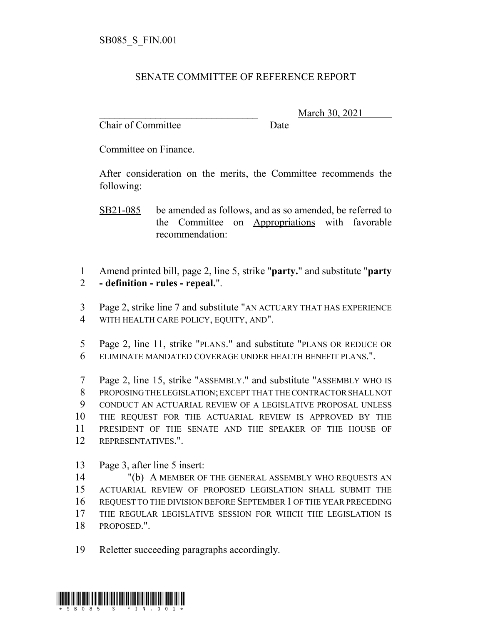## SENATE COMMITTEE OF REFERENCE REPORT

Chair of Committee Date

\_\_\_\_\_\_\_\_\_\_\_\_\_\_\_\_\_\_\_\_\_\_\_\_\_\_\_\_\_\_\_ March 30, 2021

Committee on Finance.

After consideration on the merits, the Committee recommends the following:

 Amend printed bill, page 2, line 5, strike "**party.**" and substitute "**party - definition - rules - repeal.**".

 Page 2, strike line 7 and substitute "AN ACTUARY THAT HAS EXPERIENCE WITH HEALTH CARE POLICY, EQUITY, AND".

 Page 2, line 11, strike "PLANS." and substitute "PLANS OR REDUCE OR ELIMINATE MANDATED COVERAGE UNDER HEALTH BENEFIT PLANS.".

 Page 2, line 15, strike "ASSEMBLY." and substitute "ASSEMBLY WHO IS PROPOSING THE LEGISLATION; EXCEPT THAT THE CONTRACTOR SHALL NOT CONDUCT AN ACTUARIAL REVIEW OF A LEGISLATIVE PROPOSAL UNLESS THE REQUEST FOR THE ACTUARIAL REVIEW IS APPROVED BY THE PRESIDENT OF THE SENATE AND THE SPEAKER OF THE HOUSE OF REPRESENTATIVES.".

Page 3, after line 5 insert:

 "(b) A MEMBER OF THE GENERAL ASSEMBLY WHO REQUESTS AN ACTUARIAL REVIEW OF PROPOSED LEGISLATION SHALL SUBMIT THE REQUEST TO THE DIVISION BEFORE SEPTEMBER 1 OF THE YEAR PRECEDING THE REGULAR LEGISLATIVE SESSION FOR WHICH THE LEGISLATION IS PROPOSED.".

Reletter succeeding paragraphs accordingly.



SB21-085 be amended as follows, and as so amended, be referred to the Committee on Appropriations with favorable recommendation: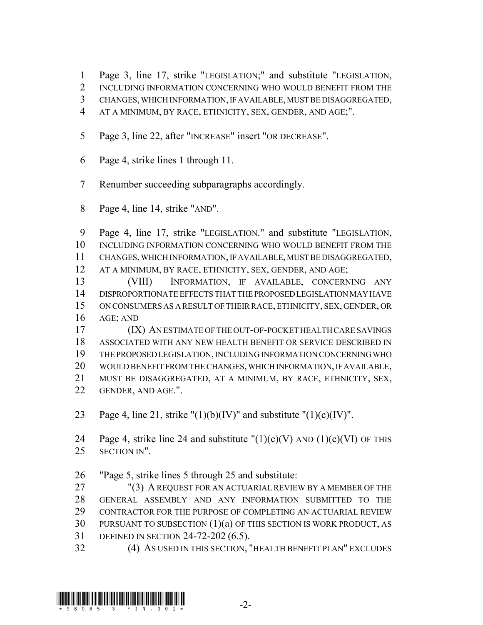Page 3, line 17, strike "LEGISLATION;" and substitute "LEGISLATION,

- 2 INCLUDING INFORMATION CONCERNING WHO WOULD BENEFIT FROM THE
- CHANGES, WHICH INFORMATION, IF AVAILABLE, MUST BE DISAGGREGATED,
- AT A MINIMUM, BY RACE, ETHNICITY, SEX, GENDER, AND AGE;".
- Page 3, line 22, after "INCREASE" insert "OR DECREASE".
- Page 4, strike lines 1 through 11.
- Renumber succeeding subparagraphs accordingly.
- Page 4, line 14, strike "AND".

 Page 4, line 17, strike "LEGISLATION." and substitute "LEGISLATION, INCLUDING INFORMATION CONCERNING WHO WOULD BENEFIT FROM THE CHANGES, WHICH INFORMATION, IF AVAILABLE, MUST BE DISAGGREGATED, AT A MINIMUM, BY RACE, ETHNICITY, SEX, GENDER, AND AGE;

 (VIII) INFORMATION, IF AVAILABLE, CONCERNING ANY DISPROPORTIONATE EFFECTS THAT THE PROPOSED LEGISLATION MAY HAVE ON CONSUMERS AS A RESULT OF THEIR RACE, ETHNICITY, SEX, GENDER, OR AGE; AND

 (IX) AN ESTIMATE OF THE OUT-OF-POCKET HEALTH CARE SAVINGS ASSOCIATED WITH ANY NEW HEALTH BENEFIT OR SERVICE DESCRIBED IN THE PROPOSED LEGISLATION, INCLUDING INFORMATION CONCERNING WHO WOULD BENEFIT FROM THE CHANGES, WHICH INFORMATION, IF AVAILABLE, MUST BE DISAGGREGATED, AT A MINIMUM, BY RACE, ETHNICITY, SEX, GENDER, AND AGE.".

23 Page 4, line 21, strike "(1)(b)(IV)" and substitute "(1)(c)(IV)".

24 Page 4, strike line 24 and substitute  $''(1)(c)(V)$  AND  $(1)(c)(VI)$  OF THIS SECTION IN".

"Page 5, strike lines 5 through 25 and substitute:

 "(3) A REQUEST FOR AN ACTUARIAL REVIEW BY A MEMBER OF THE GENERAL ASSEMBLY AND ANY INFORMATION SUBMITTED TO THE CONTRACTOR FOR THE PURPOSE OF COMPLETING AN ACTUARIAL REVIEW PURSUANT TO SUBSECTION (1)(a) OF THIS SECTION IS WORK PRODUCT, AS DEFINED IN SECTION 24-72-202 (6.5).

(4) AS USED IN THIS SECTION, "HEALTH BENEFIT PLAN" EXCLUDES